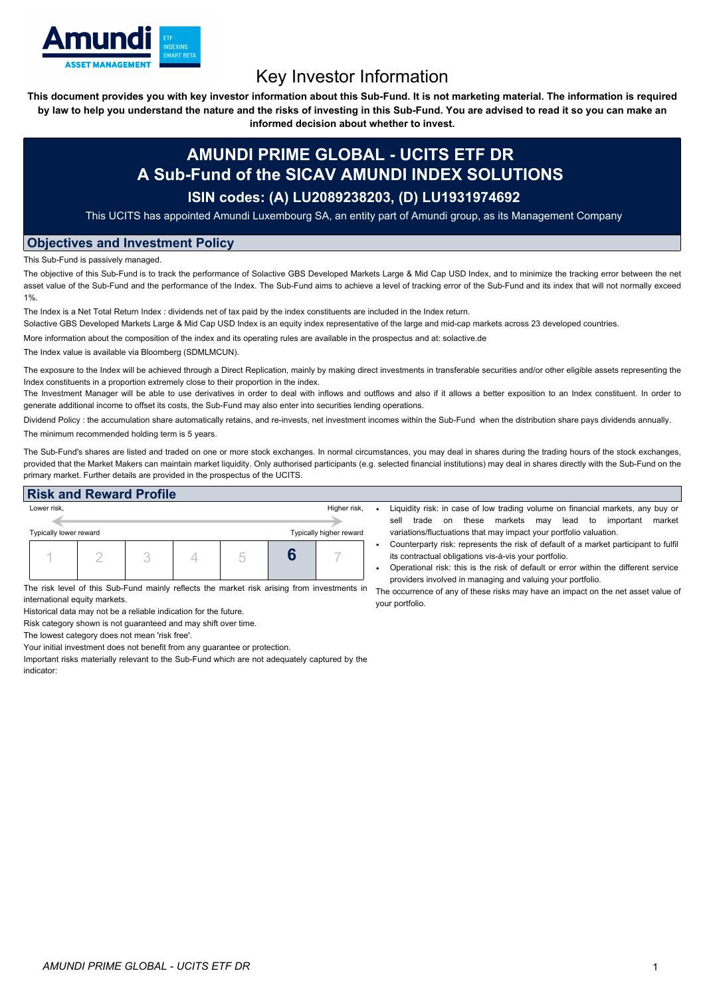

# Key Investor Information

This document provides you with key investor information about this Sub-Fund. It is not marketing material. The information is required by law to help you understand the nature and the risks of investing in this Sub-Fund. You are advised to read it so you can make an

**informed decision about whether to invest.**

## **AMUNDI PRIME GLOBAL - UCITS ETF DR A Sub-Fund of the SICAV AMUNDI INDEX SOLUTIONS**

### **ISIN codes: (A) LU2089238203, (D) LU1931974692**

This UCITS has appointed Amundi Luxembourg SA, an entity part of Amundi group, as its Management Company

#### **Objectives and Investment Policy**

This Sub-Fund is passively managed.

The objective of this Sub-Fund is to track the performance of Solactive GBS Developed Markets Large & Mid Cap USD Index, and to minimize the tracking error between the net asset value of the Sub-Fund and the performance of the Index. The Sub-Fund aims to achieve a level of tracking error of the Sub-Fund and its index that will not normally exceed 1%.

The Index is a Net Total Return Index : dividends net of tax paid by the index constituents are included in the Index return.

Solactive GBS Developed Markets Large & Mid Cap USD Index is an equity index representative of the large and mid-cap markets across 23 developed countries.

More information about the composition of the index and its operating rules are available in the prospectus and at: solactive.de

The Index value is available via Bloomberg (SDMLMCUN).

The exposure to the Index will be achieved through a Direct Replication, mainly by making direct investments in transferable securities and/or other eligible assets representing the Index constituents in a proportion extremely close to their proportion in the index.

The Investment Manager will be able to use derivatives in order to deal with inflows and outflows and also if it allows a better exposition to an Index constituent. In order to generate additional income to offset its costs, the Sub-Fund may also enter into securities lending operations.

Dividend Policy : the accumulation share automatically retains, and re-invests, net investment incomes within the Sub-Fund when the distribution share pays dividends annually. The minimum recommended holding term is 5 years.

The Sub-Fund's shares are listed and traded on one or more stock exchanges. In normal circumstances, you may deal in shares during the trading hours of the stock exchanges, provided that the Market Makers can maintain market liquidity. Only authorised participants (e.g. selected financial institutions) may deal in shares directly with the Sub-Fund on the primary market. Further details are provided in the prospectus of the UCITS.

| <b>Risk and Reward Profile</b>                    |                               |  |  |  |   |                                                                                             |                                                                                                                                                                                                                                     |  |  |
|---------------------------------------------------|-------------------------------|--|--|--|---|---------------------------------------------------------------------------------------------|-------------------------------------------------------------------------------------------------------------------------------------------------------------------------------------------------------------------------------------|--|--|
| Lower risk.                                       |                               |  |  |  |   | Higher risk,                                                                                | Liquidity risk: in case of low trading volume on financial markets, any buy or<br>these<br>markets<br>market<br>sell<br>important<br>on<br>mav<br>lead to<br>trade                                                                  |  |  |
| Typically higher reward<br>Typically lower reward |                               |  |  |  |   | variations/fluctuations that may impact your portfolio valuation.                           |                                                                                                                                                                                                                                     |  |  |
|                                                   |                               |  |  |  | О |                                                                                             | Counterparty risk: represents the risk of default of a market participant to fulfil<br>its contractual obligations vis-à-vis your portfolio.<br>Operational risk: this is the risk of default or error within the different service |  |  |
|                                                   | international equity markets. |  |  |  |   | The risk level of this Sub-Fund mainly reflects the market risk arising from investments in | providers involved in managing and valuing your portfolio.<br>The occurrence of any of these risks may have an impact on the net asset value of<br>your portfolio.                                                                  |  |  |

Historical data may not be a reliable indication for the future.

Risk category shown is not guaranteed and may shift over time.

The lowest category does not mean 'risk free'.

Your initial investment does not benefit from any guarantee or protection.

Important risks materially relevant to the Sub-Fund which are not adequately captured by the indicator: